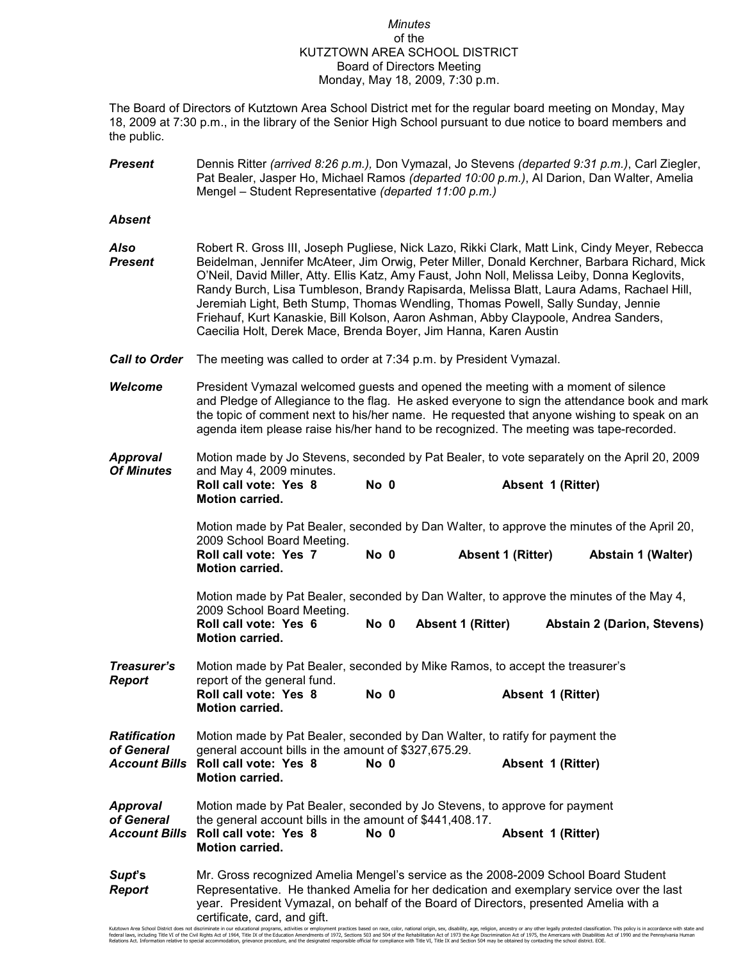## *Minutes* of the KUTZTOWN AREA SCHOOL DISTRICT Board of Directors Meeting Monday, May 18, 2009, 7:30 p.m.

The Board of Directors of Kutztown Area School District met for the regular board meeting on Monday, May 18, 2009 at 7:30 p.m., in the library of the Senior High School pursuant to due notice to board members and the public.

| <b>Present</b> | Dennis Ritter (arrived 8:26 p.m.), Don Vymazal, Jo Stevens (departed 9:31 p.m.), Carl Ziegler,    |  |  |  |
|----------------|---------------------------------------------------------------------------------------------------|--|--|--|
|                | Pat Bealer, Jasper Ho, Michael Ramos <i>(departed 10:00 p.m.)</i> , Al Darion, Dan Walter, Amelia |  |  |  |
|                | Mengel – Student Representative (departed 11:00 p.m.)                                             |  |  |  |

## *Absent*

| Also<br><b>Present</b>                                    | Robert R. Gross III, Joseph Pugliese, Nick Lazo, Rikki Clark, Matt Link, Cindy Meyer, Rebecca<br>Beidelman, Jennifer McAteer, Jim Orwig, Peter Miller, Donald Kerchner, Barbara Richard, Mick<br>O'Neil, David Miller, Atty. Ellis Katz, Amy Faust, John Noll, Melissa Leiby, Donna Keglovits,<br>Randy Burch, Lisa Tumbleson, Brandy Rapisarda, Melissa Blatt, Laura Adams, Rachael Hill,<br>Jeremiah Light, Beth Stump, Thomas Wendling, Thomas Powell, Sally Sunday, Jennie<br>Friehauf, Kurt Kanaskie, Bill Kolson, Aaron Ashman, Abby Claypoole, Andrea Sanders,<br>Caecilia Holt, Derek Mace, Brenda Boyer, Jim Hanna, Karen Austin |      |                          |                                    |  |  |
|-----------------------------------------------------------|-------------------------------------------------------------------------------------------------------------------------------------------------------------------------------------------------------------------------------------------------------------------------------------------------------------------------------------------------------------------------------------------------------------------------------------------------------------------------------------------------------------------------------------------------------------------------------------------------------------------------------------------|------|--------------------------|------------------------------------|--|--|
| <b>Call to Order</b>                                      | The meeting was called to order at 7:34 p.m. by President Vymazal.                                                                                                                                                                                                                                                                                                                                                                                                                                                                                                                                                                        |      |                          |                                    |  |  |
| <b>Welcome</b>                                            | President Vymazal welcomed guests and opened the meeting with a moment of silence<br>and Pledge of Allegiance to the flag. He asked everyone to sign the attendance book and mark<br>the topic of comment next to his/her name. He requested that anyone wishing to speak on an<br>agenda item please raise his/her hand to be recognized. The meeting was tape-recorded.                                                                                                                                                                                                                                                                 |      |                          |                                    |  |  |
| <b>Approval</b><br><b>Of Minutes</b>                      | Motion made by Jo Stevens, seconded by Pat Bealer, to vote separately on the April 20, 2009<br>and May 4, 2009 minutes.<br>Roll call vote: Yes 8<br><b>Motion carried.</b>                                                                                                                                                                                                                                                                                                                                                                                                                                                                | No 0 | Absent 1 (Ritter)        |                                    |  |  |
|                                                           | Motion made by Pat Bealer, seconded by Dan Walter, to approve the minutes of the April 20,<br>2009 School Board Meeting.<br>Roll call vote: Yes 7<br>Motion carried.                                                                                                                                                                                                                                                                                                                                                                                                                                                                      | No 0 | <b>Absent 1 (Ritter)</b> | <b>Abstain 1 (Walter)</b>          |  |  |
|                                                           | Motion made by Pat Bealer, seconded by Dan Walter, to approve the minutes of the May 4,<br>2009 School Board Meeting.<br>Roll call vote: Yes 6<br><b>Motion carried.</b>                                                                                                                                                                                                                                                                                                                                                                                                                                                                  | No 0 | <b>Absent 1 (Ritter)</b> | <b>Abstain 2 (Darion, Stevens)</b> |  |  |
| Treasurer's<br><b>Report</b>                              | Motion made by Pat Bealer, seconded by Mike Ramos, to accept the treasurer's<br>report of the general fund.<br>Roll call vote: Yes 8<br><b>Motion carried.</b>                                                                                                                                                                                                                                                                                                                                                                                                                                                                            | No 0 | Absent 1 (Ritter)        |                                    |  |  |
| <b>Ratification</b><br>of General<br><b>Account Bills</b> | Motion made by Pat Bealer, seconded by Dan Walter, to ratify for payment the<br>general account bills in the amount of \$327,675.29.<br>Roll call vote: Yes 8<br>Absent 1 (Ritter)<br>No 0<br>Motion carried.                                                                                                                                                                                                                                                                                                                                                                                                                             |      |                          |                                    |  |  |
| <b>Approval</b><br>of General<br><b>Account Bills</b>     | Motion made by Pat Bealer, seconded by Jo Stevens, to approve for payment<br>the general account bills in the amount of \$441,408.17.<br>Roll call vote: Yes 8<br><b>Motion carried.</b>                                                                                                                                                                                                                                                                                                                                                                                                                                                  | No 0 | Absent 1 (Ritter)        |                                    |  |  |
| Supt's<br><b>Report</b>                                   | Mr. Gross recognized Amelia Mengel's service as the 2008-2009 School Board Student<br>Representative. He thanked Amelia for her dedication and exemplary service over the last<br>year. President Vymazal, on behalf of the Board of Directors, presented Amelia with a<br>certificate, card, and gift.                                                                                                                                                                                                                                                                                                                                   |      |                          |                                    |  |  |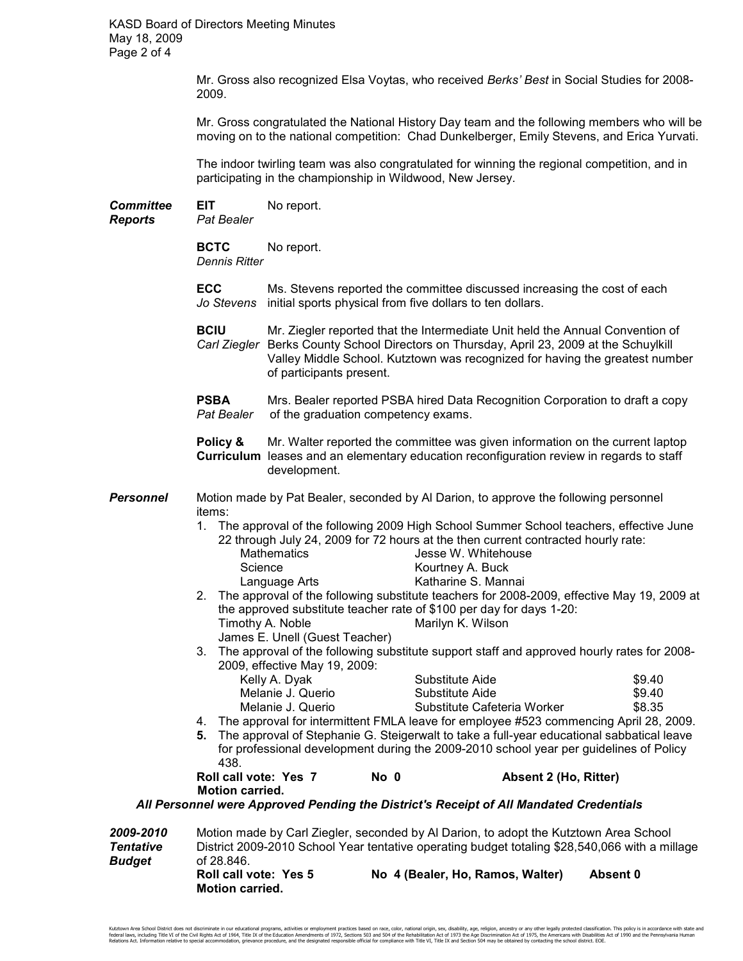Mr. Gross also recognized Elsa Voytas, who received *Berks' Best* in Social Studies for 2008- 2009.

 Mr. Gross congratulated the National History Day team and the following members who will be moving on to the national competition: Chad Dunkelberger, Emily Stevens, and Erica Yurvati.

 The indoor twirling team was also congratulated for winning the regional competition, and in participating in the championship in Wildwood, New Jersey.

**Committee EIT** No report.

*Reports Pat Bealer* 

**BCTC** No report. *Dennis Ritter*

**ECC** Ms. Stevens reported the committee discussed increasing the cost of each *Jo Stevens* initial sports physical from five dollars to ten dollars.

**BCIU** Mr. Ziegler reported that the Intermediate Unit held the Annual Convention of *Carl Ziegler* Berks County School Directors on Thursday, April 23, 2009 at the Schuylkill Valley Middle School. Kutztown was recognized for having the greatest number of participants present.

**PSBA** Mrs. Bealer reported PSBA hired Data Recognition Corporation to draft a copy *Pat Bealer* of the graduation competency exams.

**Policy &** Mr. Walter reported the committee was given information on the current laptop **Curriculum** leases and an elementary education reconfiguration review in regards to staff development.

**Personnel** Motion made by Pat Bealer, seconded by Al Darion, to approve the following personnel items:

- 1. The approval of the following 2009 High School Summer School teachers, effective June 22 through July 24, 2009 for 72 hours at the then current contracted hourly rate:
	- Mathematics **Mathematics** Jesse W. Whitehouse Science Kourtney A. Buck Language Arts **Katharine S. Mannai**
- 2. The approval of the following substitute teachers for 2008-2009, effective May 19, 2009 at the approved substitute teacher rate of \$100 per day for days 1-20: Timothy A. Noble Marilyn K. Wilson James E. Unell (Guest Teacher)
- 3. The approval of the following substitute support staff and approved hourly rates for 2008- 2009, effective May 19, 2009:

| Kelly A. Dyak     | Substitute Aide                                                                 | \$9.40 |  |
|-------------------|---------------------------------------------------------------------------------|--------|--|
| Melanie J. Querio | Substitute Aide                                                                 | \$9.40 |  |
| Melanie J. Querio | Substitute Cafeteria Worker                                                     | \$8.35 |  |
|                   | operaughter internittent EMI A leque for employee #500 commencing April 00, 000 |        |  |

4. The approval for intermittent FMLA leave for employee #523 commencing April 28, 2009. **5.** The approval of Stephanie G. Steigerwalt to take a full-year educational sabbatical leave for professional development during the 2009-2010 school year per guidelines of Policy 438.<br>**Roll call vote: Yes 7** 

**Roll Collection Controll Absent 2 (Ho, Ritter)** 

 **Motion carried.** 

 *All Personnel were Approved Pending the District's Receipt of All Mandated Credentials* 

*2009-2010* Motion made by Carl Ziegler, seconded by Al Darion, to adopt the Kutztown Area School **Tentative** District 2009-2010 School Year tentative operating budget totaling \$28,540,066 with a millage **Budget** *Budget* of 28.846. **Roll call vote: Yes 5 No 4 (Bealer, Ho, Ramos, Walter) Absent 0 Motion carried.**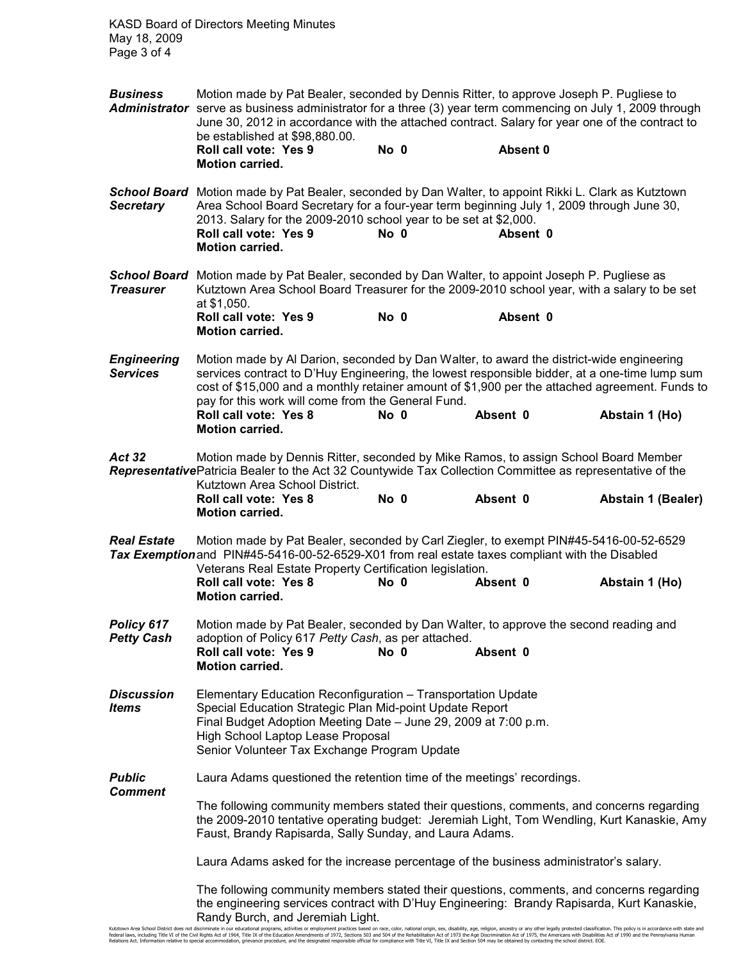KASD Board of Directors Meeting Minutes May 18, 2009 Page 3 of 4

*Business* Motion made by Pat Bealer, seconded by Dennis Ritter, to approve Joseph P. Pugliese to *Administrator* serve as business administrator for a three (3) year term commencing on July 1, 2009 through June 30, 2012 in accordance with the attached contract. Salary for year one of the contract to be established at \$98,880.00. **Roll call vote: Yes 9 No 0 Absent 0 Motion carried.**  *School Board* Motion made by Pat Bealer, seconded by Dan Walter, to appoint Rikki L. Clark as Kutztown *Secretary* Area School Board Secretary for a four-year term beginning July 1, 2009 through June 30, 2013. Salary for the 2009-2010 school year to be set at \$2,000. **Roll call vote: Yes 9 Motion carried.** *School Board* Motion made by Pat Bealer, seconded by Dan Walter, to appoint Joseph P. Pugliese as **Treasurer** Kutztown Area School Board Treasurer for the 2009-2010 school year, with a salary to be set at \$1,050. **Roll call vote: Yes 9 No 0 Absent 0 Motion carried. Engineering** Motion made by Al Darion, seconded by Dan Walter, to award the district-wide engineering Services contract to D'Huv Engineering, the lowest responsible bidder, at a one-time lump s *Services* services contract to D'Huy Engineering, the lowest responsible bidder, at a one-time lump sum cost of \$15,000 and a monthly retainer amount of \$1,900 per the attached agreement. Funds to pay for this work will come from the General Fund. **Roll call vote: Yes 8 No 0 Absent 0 Abstain 1 (Ho) Motion carried.**  Act 32 Motion made by Dennis Ritter, seconded by Mike Ramos, to assign School Board Member *Representative* Patricia Bealer to the Act 32 Countywide Tax Collection Committee as representative of the Kutztown Area School District. **Roll call vote: Yes 8 No 0 Absent 0 Abstain 1 (Bealer) Motion carried.** *Real Estate* Motion made by Pat Bealer, seconded by Carl Ziegler, to exempt PIN#45-5416-00-52-6529 *Tax Exemption* and PIN#45-5416-00-52-6529-X01 from real estate taxes compliant with the Disabled Veterans Real Estate Property Certification legislation. **Roll call vote: Yes 8 No 0 Absent 0 Abstain 1 (Ho) Motion carried. Policy 617** Motion made by Pat Bealer, seconded by Dan Walter, to approve the second reading and *Petty Cash* adoption of Policy 617 *Petty Cash*, as per attached. **Roll call vote: Yes 9 No 0 Absent 0 Motion carried.** *Discussion* Elementary Education Reconfiguration – Transportation Update **Items** Special Education Strategic Plan Mid-point Update Report Final Budget Adoption Meeting Date – June 29, 2009 at 7:00 p.m. High School Laptop Lease Proposal Senior Volunteer Tax Exchange Program Update **Public** Laura Adams questioned the retention time of the meetings' recordings. *Comment*  The following community members stated their questions, comments, and concerns regarding the 2009-2010 tentative operating budget: Jeremiah Light, Tom Wendling, Kurt Kanaskie, Amy Faust, Brandy Rapisarda, Sally Sunday, and Laura Adams. Laura Adams asked for the increase percentage of the business administrator's salary. The following community members stated their questions, comments, and concerns regarding the engineering services contract with D'Huy Engineering: Brandy Rapisarda, Kurt Kanaskie, Randy Burch, and Jeremiah Light.